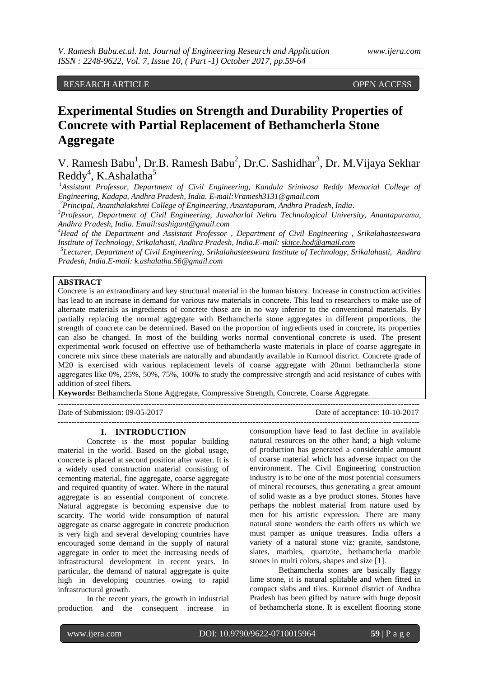RESEARCH ARTICLE **CONTRACT ARTICLE** 

# **Experimental Studies on Strength and Durability Properties of Concrete with Partial Replacement of Bethamcherla Stone Aggregate**

V. Ramesh Babu<sup>1</sup>, Dr.B. Ramesh Babu<sup>2</sup>, Dr.C. Sashidhar<sup>3</sup>, Dr. M. Vijaya Sekhar Reddy<sup>4</sup>, K.Ashalatha<sup>5</sup>

*<sup>1</sup>Assistant Professor, Department of Civil Engineering, Kandula Srinivasa Reddy Memorial College of Engineering, Kadapa, Andhra Pradesh, India. E-mail:Vramesh3131@gmail.com*

*<sup>2</sup>Principal, Ananthalakshmi College of Engineering, Anantapuram, Andhra Pradesh, India.*

*<sup>3</sup>Professor, Department of Civil Engineering, Jawaharlal Nehru Technological University, Anantapuramu, Andhra Pradesh, India. Email:sashigunt@gmail.com*

*<sup>4</sup>Head of the Department and Assistant Professor , Department of Civil Engineering , Srikalahasteeswara Institute of Technology, Srikalahasti, Andhra Pradesh, India.E-mail: [skitce.hod@gmail.com](mailto:skitce.hod@gmail.com)*

 *5 Lecturer, Department of Civil Engineering, Srikalahasteeswara Institute of Technology, Srikalahasti, Andhra Pradesh, India.E-mail: [k.ashalatha.56@gmail.com](mailto:k.ashalatha.56@gmail.com)*

## **ABSTRACT**

Concrete is an extraordinary and key structural material in the human history. Increase in construction activities has lead to an increase in demand for various raw materials in concrete. This lead to researchers to make use of alternate materials as ingredients of concrete those are in no way inferior to the conventional materials. By partially replacing the normal aggregate with Bethamcherla stone aggregates in different proportions, the strength of concrete can be determined. Based on the proportion of ingredients used in concrete, its properties can also be changed. In most of the building works normal conventional concrete is used. The present experimental work focused on effective use of bethamcherla waste materials in place of coarse aggregate in concrete mix since these materials are naturally and abundantly available in Kurnool district. Concrete grade of M20 is exercised with various replacement levels of coarse aggregate with 20mm bethamcherla stone aggregates like 0%, 25%, 50%, 75%, 100% to study the compressive strength and acid resistance of cubes with addition of steel fibers.

**---------------------------------------------------------------------------------------------------------------------------------------**

**Keywords:** Bethamcherla Stone Aggregate, Compressive Strength, Concrete, Coarse Aggregate.

Date of Submission: 09-05-2017 Date of acceptance: 10-10-2017

**---------------------------------------------------------------------------------------------------------------------------------------**

### **I. INTRODUCTION**

Concrete is the most popular building material in the world. Based on the global usage, concrete is placed at second position after water. It is a widely used construction material consisting of cementing material, fine aggregate, coarse aggregate and required quantity of water. Where in the natural aggregate is an essential component of concrete. Natural aggregate is becoming expensive due to scarcity. The world wide consumption of natural aggregate as coarse aggregate in concrete production is very high and several developing countries have encouraged some demand in the supply of natural aggregate in order to meet the increasing needs of infrastructural development in recent years. In particular, the demand of natural aggregate is quite high in developing countries owing to rapid infrastructural growth.

In the recent years, the growth in industrial production and the consequent increase in

consumption have lead to fast decline in available natural resources on the other hand; a high volume of production has generated a considerable amount of coarse material which has adverse impact on the environment. The Civil Engineering construction industry is to be one of the most potential consumers of mineral recourses, thus generating a great amount of solid waste as a bye product stones. Stones have perhaps the noblest material from nature used by men for his artistic expression. There are many natural stone wonders the earth offers us which we must pamper as unique treasures. India offers a variety of a natural stone viz; granite, sandstone, slates, marbles, quartzite, bethamcherla marble stones in multi colors, shapes and size [1].

Bethamcherla stones are basically flaggy lime stone, it is natural splitable and when fitted in compact slabs and tiles. Kurnool district of Andhra Pradesh has been gifted by nature with huge deposit of bethamcherla stone. It is excellent flooring stone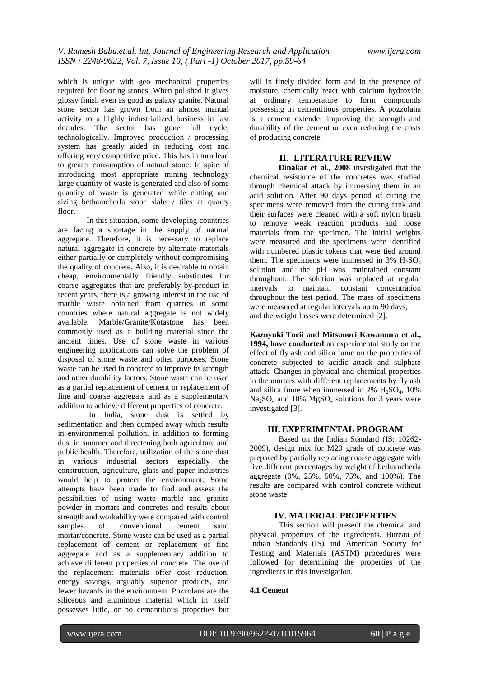which is unique with geo mechanical properties required for flooring stones. When polished it gives glossy finish even as good as galaxy granite. Natural stone sector has grown from an almost manual activity to a highly industrialized business in last decades. The sector has gone full cycle, technologically. Improved production / processing system has greatly aided in reducing cost and offering very competitive price. This has in turn lead to greater consumption of natural stone. In spite of introducing most appropriate mining technology large quantity of waste is generated and also of some quantity of waste is generated while cutting and sizing bethamcherla stone slabs / tiles at quarry floor.

In this situation, some developing countries are facing a shortage in the supply of natural aggregate. Therefore, it is necessary to replace natural aggregate in concrete by alternate materials either partially or completely without compromising the quality of concrete. Also, it is desirable to obtain cheap, environmentally friendly substitutes for coarse aggregates that are preferably by-product in recent years, there is a growing interest in the use of marble waste obtained from quarries in some countries where natural aggregate is not widely available. Marble/Granite/Kotastone has been commonly used as a building material since the ancient times. Use of stone waste in various engineering applications can solve the problem of disposal of stone waste and other purposes. Stone waste can be used in concrete to improve its strength and other durability factors. Stone waste can be used as a partial replacement of cement or replacement of fine and coarse aggregate and as a supplementary addition to achieve different properties of concrete.

In India, stone dust is settled by sedimentation and then dumped away which results in environmental pollution, in addition to forming dust in summer and threatening both agriculture and public health. Therefore, utilization of the stone dust in various industrial sectors especially the construction, agriculture, glass and paper industries would help to protect the environment. Some attempts have been made to find and assess the possibilities of using waste marble and granite powder in mortars and concretes and results about strength and workability were compared with control samples of conventional cement sand mortar/concrete. Stone waste can be used as a partial replacement of cement or replacement of fine aggregate and as a supplementary addition to achieve different properties of concrete. The use of the replacement materials offer cost reduction, energy savings, arguably superior products, and fewer hazards in the environment. Pozzolans are the siliceous and aluminous material which in itself possesses little, or no cementitious properties but will in finely divided form and in the presence of moisture, chemically react with calcium hydroxide at ordinary temperature to form compounds possessing tri cementitious properties. A pozzolana is a cement extender improving the strength and durability of the cement or even reducing the costs of producing concrete.

### **II. LITERATURE REVIEW**

**Dinakar et al., 2008** investigated that the chemical resistance of the concretes was studied through chemical attack by immersing them in an acid solution. After 90 days period of curing the specimens were removed from the curing tank and their surfaces were cleaned with a soft nylon brush to remove weak reaction products and loose materials from the specimen. The initial weights were measured and the specimens were identified with numbered plastic tokens that were tied around them. The specimens were immersed in  $3\%$  H<sub>2</sub>SO<sub>4</sub> solution and the pH was maintained constant throughout. The solution was replaced at regular intervals to maintain constant concentration throughout the test period. The mass of specimens were measured at regular intervals up to 90 days, and the weight losses were determined [2].

**Kazuyuki Torii and Mitsunori Kawamura et al., 1994, have conducted** an experimental study on the effect of fly ash and silica fume on the properties of concrete subjected to acidic attack and sulphate attack. Changes in physical and chemical properties in the mortars with different replacements by fly ash and silica fume when immersed in  $2\%$  H<sub>2</sub>SO<sub>4</sub>, 10%  $Na<sub>2</sub>SO<sub>4</sub>$  and 10%  $MgSO<sub>4</sub>$  solutions for 3 years were investigated [3].

#### **III. EXPERIMENTAL PROGRAM**

Based on the Indian Standard (IS: 10262- 2009), design mix for M20 grade of concrete was prepared by partially replacing coarse aggregate with five different percentages by weight of bethamcherla aggregate (0%, 25%, 50%, 75%, and 100%). The results are compared with control concrete without stone waste.

#### **IV. MATERIAL PROPERTIES**

This section will present the chemical and physical properties of the ingredients. Bureau of Indian Standards (IS) and American Society for Testing and Materials (ASTM) procedures were followed for determining the properties of the ingredients in this investigation.

# **4.1 Cement**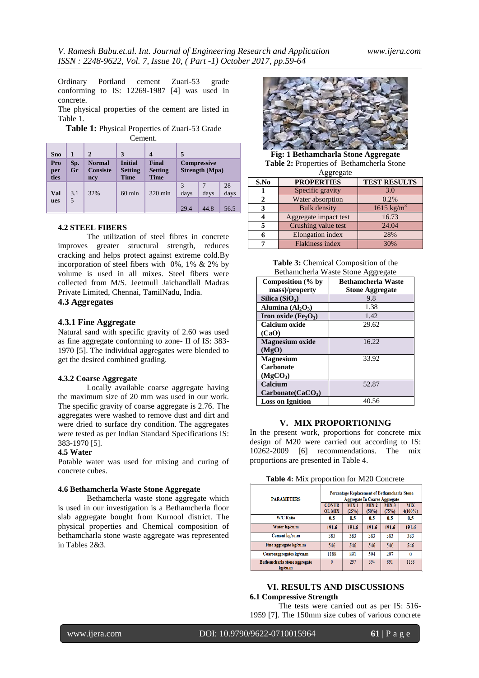Ordinary Portland cement Zuari-53 grade conforming to IS: 12269-1987 [4] was used in concrete.

The physical properties of the cement are listed in Table 1.

**Table 1:** Physical Properties of Zuari-53 Grade Cement.

| <b>Sno</b><br>Pro<br>per<br>ties | 1<br>Sp.<br>Gr | $\mathbf{2}$<br><b>Normal</b><br><b>Consiste</b><br>ncy | 3<br><b>Initial</b><br><b>Setting</b><br><b>Time</b> | <b>Final</b><br><b>Setting</b><br><b>Time</b> | 5            | <b>Compressive</b><br><b>Strength</b> (Mpa) |                    |
|----------------------------------|----------------|---------------------------------------------------------|------------------------------------------------------|-----------------------------------------------|--------------|---------------------------------------------|--------------------|
| Val<br>ues                       | 3.1<br>5       | 32%                                                     | $60 \text{ min}$                                     | 320 min                                       | days<br>29.4 | days<br>44.8                                | 28<br>days<br>56.5 |

# **4.2 STEEL FIBERS**

The utilization of steel fibres in concrete improves greater structural strength, reduces cracking and helps protect against extreme cold.By incorporation of steel fibers with 0%, 1% & 2% by volume is used in all mixes. Steel fibers were collected from M/S. Jeetmull Jaichandlall Madras Private Limited, Chennai, TamilNadu, India.

# **4.3 Aggregates**

### **4.3.1 Fine Aggregate**

Natural sand with specific gravity of 2.60 was used as fine aggregate conforming to zone- II of IS: 383- 1970 [5]. The individual aggregates were blended to get the desired combined grading.

#### **4.3.2 Coarse Aggregate**

Locally available coarse aggregate having the maximum size of 20 mm was used in our work. The specific gravity of coarse aggregate is 2.76. The aggregates were washed to remove dust and dirt and were dried to surface dry condition. The aggregates were tested as per Indian Standard Specifications IS: 383-1970 [5].

### **4.5 Water**

Potable water was used for mixing and curing of concrete cubes.

#### **4.6 Bethamcherla Waste Stone Aggregate**

Bethamcherla waste stone aggregate which is used in our investigation is a Bethamcherla floor slab aggregate bought from Kurnool district. The physical properties and Chemical composition of bethamcharla stone waste aggregate was represented in Tables 2&3.



**Fig: 1 Bethamcharla Stone Aggregate Table 2:** Properties of Bethamcherla Stone

| Aggregate |                        |                       |  |  |  |
|-----------|------------------------|-----------------------|--|--|--|
| S.No      | <b>PROPERTIES</b>      | <b>TEST RESULTS</b>   |  |  |  |
|           | Specific gravity       | 3.0                   |  |  |  |
|           | Water absorption       | 0.2%                  |  |  |  |
|           | <b>Bulk</b> density    | $1615 \text{ kg/m}^3$ |  |  |  |
|           | Aggregate impact test  | 16.73                 |  |  |  |
|           | Crushing value test    | 24.04                 |  |  |  |
|           | Elongation index       | 28%                   |  |  |  |
|           | <b>Flakiness index</b> | 30%                   |  |  |  |

**Table 3:** Chemical Composition of the Bethamcherla Waste Stone Aggregate

| Bethameneria Waste Biblie <i>Pieglegale</i>  |                           |  |  |  |
|----------------------------------------------|---------------------------|--|--|--|
| Composition (% by                            | <b>Bethamcherla Waste</b> |  |  |  |
| mass)/property                               | <b>Stone Aggregate</b>    |  |  |  |
| Silica $(SiO2)$                              | 9.8                       |  |  |  |
| Alumina $(Al2O3)$                            | 1.38                      |  |  |  |
| Iron oxide (Fe <sub>2</sub> O <sub>3</sub> ) | 1.42                      |  |  |  |
| <b>Calcium oxide</b>                         | 29.62                     |  |  |  |
| (CaO)                                        |                           |  |  |  |
| <b>Magnesium oxide</b>                       | 16.22                     |  |  |  |
| (MgO)                                        |                           |  |  |  |
| <b>Magnesium</b>                             | 33.92                     |  |  |  |
| <b>Carbonate</b>                             |                           |  |  |  |
| (MgCO <sub>3</sub> )                         |                           |  |  |  |
| Calcium                                      | 52.87                     |  |  |  |
| Carbonate(CaCO <sub>3</sub> )                |                           |  |  |  |
| <b>Loss on Ignition</b>                      | 40.56                     |  |  |  |

# **V. MIX PROPORTIONING**

In the present work, proportions for concrete mix design of M20 were carried out according to IS: 10262-2009 [6] recommendations. The mix proportions are presented in Table 4.

| Table 4: Mix proportion for M20 Concrete |  |  |  |
|------------------------------------------|--|--|--|
|------------------------------------------|--|--|--|

| <b>PARAMETERS</b>                       | Percentage Replacement of Bethamcharla Stone<br>Aggregate In Coarse Aggregate |                      |                           |                           |                          |
|-----------------------------------------|-------------------------------------------------------------------------------|----------------------|---------------------------|---------------------------|--------------------------|
|                                         | <b>CONTR</b><br><b>OL MIX</b>                                                 | <b>MIX1</b><br>(25%) | MIX <sub>2</sub><br>(50%) | MIX <sub>3</sub><br>(75%) | <b>MIX</b><br>$4(100\%)$ |
| <b>W/C Ratio</b>                        | 0.5                                                                           | 0.5                  | 0.5                       | 0.5                       | 0.5                      |
| Water kg/cu.m                           | 191.6                                                                         | 191.6                | 191.6                     | 191.6                     | 191.6                    |
| Cement kg/cu.m                          | 383                                                                           | 383                  | 383                       | 383                       | 383                      |
| Fine aggregate kg/cu.m                  | 546                                                                           | 546                  | 546                       | 546                       | 546                      |
| Coarseaggregates kg/cu.m                | 1188                                                                          | 891                  | 594                       | 297                       |                          |
| Bathemcharla stone aggregate<br>kg/cu.m | 0                                                                             | 297                  | 594                       | 891                       | 1188                     |

# **VI. RESULTS AND DISCUSSIONS 6.1 Compressive Strength**

The tests were carried out as per IS: 516- 1959 [7]. The 150mm size cubes of various concrete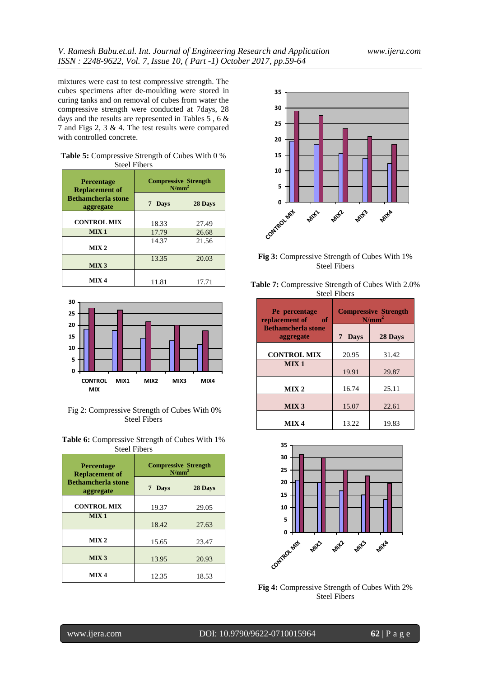mixtures were cast to test compressive strength. The cubes specimens after de-moulding were stored in curing tanks and on removal of cubes from water the compressive strength were conducted at 7days, 28 days and the results are represented in Tables 5 , 6 & 7 and Figs 2, 3 & 4. The test results were compared with controlled concrete.

| <b>Table 5:</b> Compressive Strength of Cubes With 0 % |  |
|--------------------------------------------------------|--|
| <b>Steel Fibers</b>                                    |  |

| <b>Percentage</b><br><b>Replacement of</b> | <b>Compressive Strength</b><br>$N/mm^2$ |         |  |
|--------------------------------------------|-----------------------------------------|---------|--|
| <b>Bethamcherla stone</b><br>aggregate     | 7 Days                                  | 28 Days |  |
| <b>CONTROL MIX</b>                         | 18.33                                   | 27.49   |  |
| MIX <sub>1</sub>                           | 17.79                                   | 26.68   |  |
| MIX <sub>2</sub>                           | 14.37                                   | 21.56   |  |
| MIX <sub>3</sub>                           | 13.35                                   | 20.03   |  |
| MIX 4                                      | 11.81                                   | 17.71   |  |



Fig 2: Compressive Strength of Cubes With 0% Steel Fibers

| <b>Table 6:</b> Compressive Strength of Cubes With 1% |  |
|-------------------------------------------------------|--|
| <b>Steel Fibers</b>                                   |  |

| <b>Percentage</b><br><b>Replacement of</b> | <b>Compressive Strength</b><br>$N/mm^2$ |         |  |
|--------------------------------------------|-----------------------------------------|---------|--|
| <b>Bethamcherla stone</b><br>aggregate     | 7 Days                                  | 28 Days |  |
| <b>CONTROL MIX</b>                         | 19.37                                   | 29.05   |  |
| MIX <sub>1</sub>                           | 18.42                                   | 27.63   |  |
| MIX <sub>2</sub>                           | 15.65                                   | 23.47   |  |
| MIX <sub>3</sub>                           | 13.95                                   | 20.93   |  |
| MIX <sub>4</sub>                           | 12.35                                   | 18.53   |  |



**Fig 3:** Compressive Strength of Cubes With 1% Steel Fibers

| <b>Table 7:</b> Compressive Strength of Cubes With 2.0% |
|---------------------------------------------------------|
| <b>Steel Fibers</b>                                     |

| Pe percentage<br>replacement of<br>of  | <b>Compressive Strength</b><br>$N/mm^2$ |         |  |
|----------------------------------------|-----------------------------------------|---------|--|
| <b>Bethamcherla stone</b><br>aggregate | <b>Days</b><br>7                        | 28 Days |  |
| <b>CONTROL MIX</b>                     | 20.95                                   | 31.42   |  |
| MIX <sub>1</sub>                       | 19.91                                   | 29.87   |  |
| MIX <sub>2</sub>                       | 16.74                                   | 25.11   |  |
| MIX <sub>3</sub>                       | 15.07                                   | 22.61   |  |
| MIX <sub>4</sub>                       | 13.22                                   | 19.83   |  |



**Fig 4:** Compressive Strength of Cubes With 2% Steel Fibers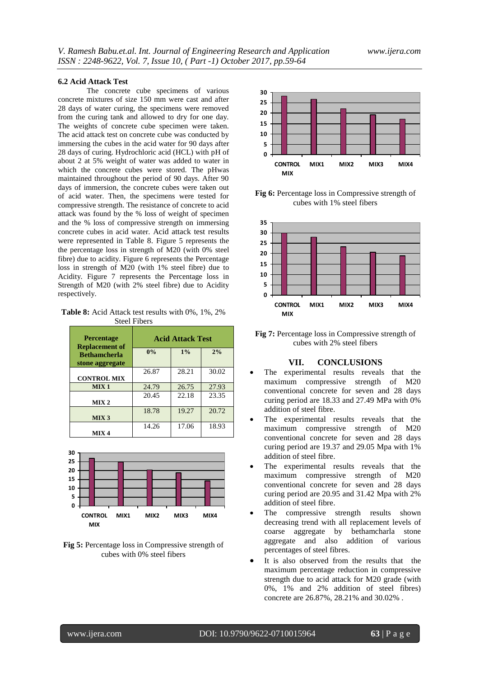#### **6.2 Acid Attack Test**

The concrete cube specimens of various concrete mixtures of size 150 mm were cast and after 28 days of water curing, the specimens were removed from the curing tank and allowed to dry for one day. The weights of concrete cube specimen were taken. The acid attack test on concrete cube was conducted by immersing the cubes in the acid water for 90 days after 28 days of curing. Hydrochloric acid (HCL) with pH of about 2 at 5% weight of water was added to water in which the concrete cubes were stored. The pHwas maintained throughout the period of 90 days. After 90 days of immersion, the concrete cubes were taken out of acid water. Then, the specimens were tested for compressive strength. The resistance of concrete to acid attack was found by the % loss of weight of specimen and the % loss of compressive strength on immersing concrete cubes in acid water. Acid attack test results were represented in Table 8. Figure 5 represents the the percentage loss in strength of M20 (with 0% steel fibre) due to acidity. Figure 6 represents the Percentage loss in strength of M20 (with 1% steel fibre) due to Acidity. Figure 7 represents the Percentage loss in Strength of M20 (with 2% steel fibre) due to Acidity respectively.

**Table 8:** Acid Attack test results with 0%, 1%, 2% Steel Fibers

| <b>Percentage</b><br><b>Replacement of</b> | <b>Acid Attack Test</b> |       |       |  |
|--------------------------------------------|-------------------------|-------|-------|--|
| <b>Bethamcherla</b><br>stone aggregate     | 0%                      | 1%    | 2%    |  |
| <b>CONTROL MIX</b>                         | 26.87                   | 28.21 | 30.02 |  |
| MIX <sub>1</sub>                           | 24.79                   | 26.75 | 27.93 |  |
| MIX <sub>2</sub>                           | 20.45                   | 22.18 | 23.35 |  |
| MIX <sub>3</sub>                           | 18.78                   | 19.27 | 20.72 |  |
| MIX <sub>4</sub>                           | 14.26                   | 17.06 | 18.93 |  |



**Fig 5:** Percentage loss in Compressive strength of cubes with 0% steel fibers



**Fig 6:** Percentage loss in Compressive strength of cubes with 1% steel fibers



**Fig 7:** Percentage loss in Compressive strength of cubes with 2% steel fibers

#### **VII. CONCLUSIONS**

- The experimental results reveals that the maximum compressive strength of M20 conventional concrete for seven and 28 days curing period are 18.33 and 27.49 MPa with 0% addition of steel fibre.
- The experimental results reveals that the maximum compressive strength of M20 conventional concrete for seven and 28 days curing period are 19.37 and 29.05 Mpa with 1% addition of steel fibre.
- The experimental results reveals that the maximum compressive strength of M20 conventional concrete for seven and 28 days curing period are 20.95 and 31.42 Mpa with 2% addition of steel fibre.
- The compressive strength results shown decreasing trend with all replacement levels of coarse aggregate by bethamcharla stone aggregate and also addition of various percentages of steel fibres.
- It is also observed from the results that the maximum percentage reduction in compressive strength due to acid attack for M20 grade (with 0%, 1% and 2% addition of steel fibres) concrete are 26.87%, 28.21% and 30.02% .